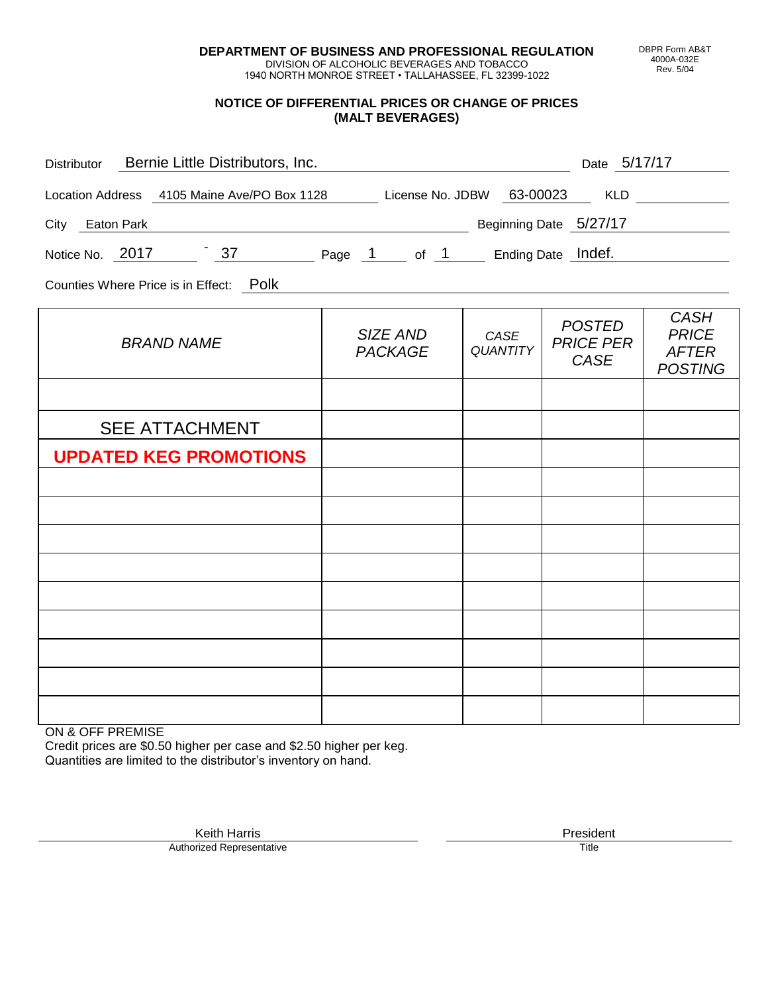**DEPARTMENT OF BUSINESS AND PROFESSIONAL REGULATION** DIVISION OF ALCOHOLIC BEVERAGES AND TOBACCO

1940 NORTH MONROE STREET • TALLAHASSEE, FL 32399-1022

## **NOTICE OF DIFFERENTIAL PRICES OR CHANGE OF PRICES (MALT BEVERAGES)**

| Distributor Bernie Little Distributors, Inc.                              | Date 5/17/17               |                         |                                                  |                                                               |
|---------------------------------------------------------------------------|----------------------------|-------------------------|--------------------------------------------------|---------------------------------------------------------------|
| Location Address 4105 Maine Ave/PO Box 1128 License No. JDBW 63-00023 KLD |                            |                         |                                                  |                                                               |
| City Eaton Park                                                           | Beginning Date 5/27/17     |                         |                                                  |                                                               |
| Notice No. 2017 37 Page 1 of 1 Ending Date Indef.                         |                            |                         |                                                  |                                                               |
| Counties Where Price is in Effect: Polk                                   |                            |                         |                                                  |                                                               |
| <b>BRAND NAME</b>                                                         | SIZE AND<br><b>PACKAGE</b> | CASE<br><b>QUANTITY</b> | <b>POSTED</b><br><b>PRICE PER</b><br><b>CASE</b> | <b>CASH</b><br><b>PRICE</b><br><b>AFTER</b><br><b>POSTING</b> |
|                                                                           |                            |                         |                                                  |                                                               |
| <b>SEE ATTACHMENT</b>                                                     |                            |                         |                                                  |                                                               |
| <b>UPDATED KEG PROMOTIONS</b>                                             |                            |                         |                                                  |                                                               |
|                                                                           |                            |                         |                                                  |                                                               |
|                                                                           |                            |                         |                                                  |                                                               |
|                                                                           |                            |                         |                                                  |                                                               |
|                                                                           |                            |                         |                                                  |                                                               |
|                                                                           |                            |                         |                                                  |                                                               |
|                                                                           |                            |                         |                                                  |                                                               |
|                                                                           |                            |                         |                                                  |                                                               |
|                                                                           |                            |                         |                                                  |                                                               |

ON & OFF PREMISE

Credit prices are \$0.50 higher per case and \$2.50 higher per keg. Quantities are limited to the distributor's inventory on hand.

Keith Harris **President** President President President President President President President President President<br>Prized Representative **President** Prize President Prize President Prize President Prize President Prize Pre Authorized Representative

DBPR Form AB&T 4000A-032E Rev. 5/04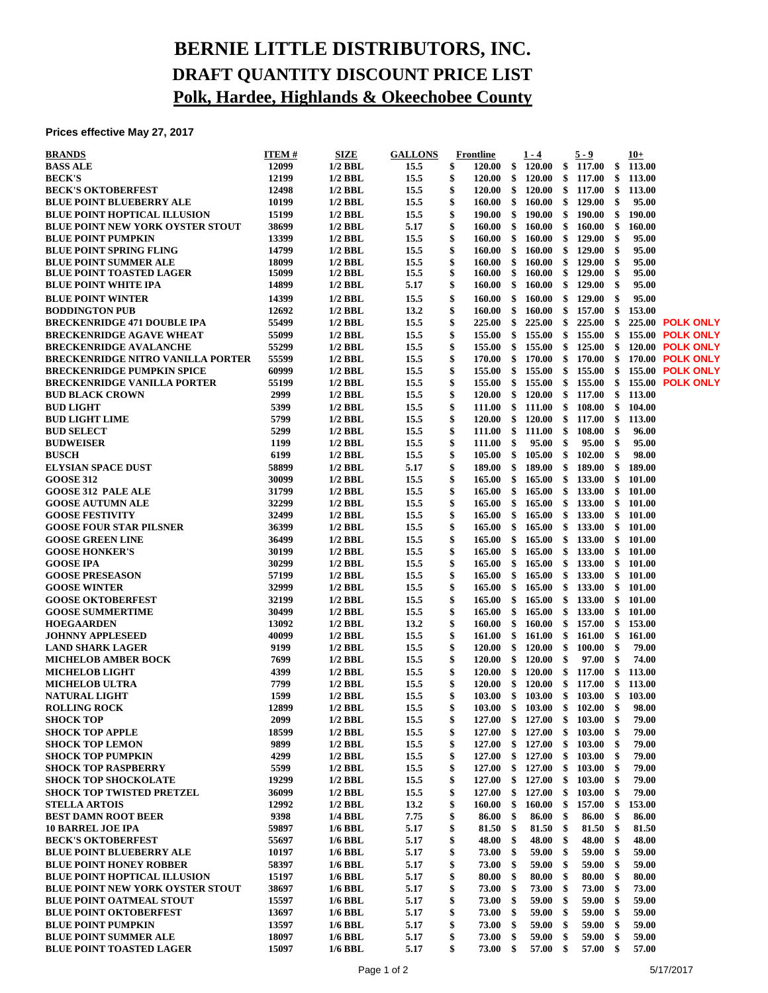## **BERNIE LITTLE DISTRIBUTORS, INC. DRAFT QUANTITY DISCOUNT PRICE LIST Polk, Hardee, Highlands & Okeechobee County**

**Prices effective May 27, 2017**

| <b>BRANDS</b>                           | <b>ITEM#</b> | SIZE      | <b>GALLONS</b> | <b>Frontline</b>        | $1 - 4$                    |      | $5 - 9$  |     | $10+$  |                         |
|-----------------------------------------|--------------|-----------|----------------|-------------------------|----------------------------|------|----------|-----|--------|-------------------------|
| <b>BASS ALE</b>                         | 12099        | $1/2$ BBL | 15.5           | \$<br><b>120.00</b>     | \$<br>120.00               | \$   | 117.00   | \$  | 113.00 |                         |
| <b>BECK'S</b>                           | 12199        | $1/2$ BBL | 15.5           | \$<br>120.00            | \$<br><b>120.00</b>        | \$   | 117.00   | \$  | 113.00 |                         |
| <b>BECK'S OKTOBERFEST</b>               | 12498        | $1/2$ BBL | 15.5           | \$<br>120.00            | \$<br>120.00               | \$   | 117.00   | \$  | 113.00 |                         |
| <b>BLUE POINT BLUEBERRY ALE</b>         | 10199        | $1/2$ BBL | 15.5           | \$<br>160.00            | \$<br>160.00               | \$   | 129.00   | \$  | 95.00  |                         |
| BLUE POINT HOPTICAL ILLUSION            | 15199        | $1/2$ BBL | 15.5           | \$<br>190.00            | \$<br>190.00               | \$   | 190.00   | \$  | 190.00 |                         |
| <b>BLUE POINT NEW YORK OYSTER STOUT</b> | 38699        | $1/2$ BBL | 5.17           | \$<br>160.00            | \$<br>160.00               | \$   | 160.00   | \$  | 160.00 |                         |
| <b>BLUE POINT PUMPKIN</b>               | 13399        | $1/2$ BBL | 15.5           | \$<br>160.00            | \$<br>160.00               | \$   | 129.00   | \$  | 95.00  |                         |
| <b>BLUE POINT SPRING FLING</b>          | 14799        | $1/2$ BBL | 15.5           | \$<br>160.00            | \$<br>160.00               | \$   | 129.00   | \$  | 95.00  |                         |
| <b>BLUE POINT SUMMER ALE</b>            | 18099        | $1/2$ BBL | 15.5           | \$<br>160.00            | \$<br>160.00               | \$   | 129.00   | \$  | 95.00  |                         |
| <b>BLUE POINT TOASTED LAGER</b>         | 15099        | $1/2$ BBL | 15.5           | \$<br>160.00            | \$<br>160.00               | \$   | 129.00   | \$  | 95.00  |                         |
| <b>BLUE POINT WHITE IPA</b>             | 14899        | $1/2$ BBL | 5.17           | \$<br>160.00            | \$<br>160.00               | \$   | 129.00   | \$  | 95.00  |                         |
| <b>BLUE POINT WINTER</b>                | 14399        | $1/2$ BBL | 15.5           | \$<br>160.00            | \$<br>160.00               | \$   | 129.00   | \$  | 95.00  |                         |
| <b>BODDINGTON PUB</b>                   | 12692        | $1/2$ BBL | 13.2           | \$<br>160.00            | \$<br>160.00               | \$   | 157.00   | \$  | 153.00 |                         |
| <b>BRECKENRIDGE 471 DOUBLE IPA</b>      | 55499        | $1/2$ BBL | 15.5           | \$<br>225.00            | \$<br>225.00               | \$   | 225.00   | \$  |        | 225.00 POLK ONLY        |
| <b>BRECKENRIDGE AGAVE WHEAT</b>         | 55099        | $1/2$ BBL | 15.5           | \$<br>155.00            | \$<br>155.00               | \$   | 155.00   | \$  |        | <b>155.00 POLK ONLY</b> |
| <b>BRECKENRIDGE AVALANCHE</b>           | 55299        | $1/2$ BBL | 15.5           | \$<br>155.00            | \$<br>155.00               | \$   | 125.00   | \$  |        | 120.00 POLK ONLY        |
| BRECKENRIDGE NITRO VANILLA PORTER       | 55599        | $1/2$ BBL | 15.5           | \$<br>170.00            | \$<br>170.00               | \$   | 170.00   | \$  |        | 170.00 POLK ONLY        |
| <b>BRECKENRIDGE PUMPKIN SPICE</b>       | 60999        | $1/2$ BBL | 15.5           | \$<br>155.00            | \$<br>155.00               | \$   | 155.00   | \$  |        | <b>155.00 POLK ONLY</b> |
| <b>BRECKENRIDGE VANILLA PORTER</b>      | 55199        | $1/2$ BBL | 15.5           | \$<br>155.00            | \$<br>155.00               | \$   | 155.00   | \$  |        | <b>155.00 POLK ONLY</b> |
| <b>BUD BLACK CROWN</b>                  | 2999         | $1/2$ BBL | 15.5           | \$<br><b>120.00</b>     | \$<br><b>120.00</b>        | \$   | 117.00   | \$  | 113.00 |                         |
| <b>BUD LIGHT</b>                        | 5399         | $1/2$ BBL | 15.5           | \$<br>$111.00 \quad$ \$ | 111.00                     | \$   | 108.00   | \$  | 104.00 |                         |
| <b>BUD LIGHT LIME</b>                   | 5799         | $1/2$ BBL | 15.5           | \$<br><b>120.00</b>     | \$<br>120.00               | \$   | 117.00   | \$  | 113.00 |                         |
| <b>BUD SELECT</b>                       | 5299         | $1/2$ BBL | 15.5           | \$<br>111.00            | \$<br>111.00               | \$   | 108.00   | \$  | 96.00  |                         |
| <b>BUDWEISER</b>                        | 1199         | $1/2$ BBL | 15.5           | \$<br><b>111.00</b>     | \$<br>95.00                | \$   | 95.00    | \$  | 95.00  |                         |
| <b>BUSCH</b>                            | 6199         | $1/2$ BBL | 15.5           | \$<br>105.00            | \$<br>105.00               | \$   | 102.00   | \$  | 98.00  |                         |
| <b>ELYSIAN SPACE DUST</b>               | 58899        | $1/2$ BBL | 5.17           | \$<br>189.00            | \$<br>189.00               | \$   | 189.00   | \$  | 189.00 |                         |
| <b>GOOSE 312</b>                        | 30099        | $1/2$ BBL | 15.5           | \$<br>165.00            | \$<br>165.00               | \$   | 133.00   | \$  | 101.00 |                         |
| <b>GOOSE 312 PALE ALE</b>               | 31799        | $1/2$ BBL | 15.5           | \$<br>165.00            | \$<br>165.00               | \$   | 133.00   | \$  | 101.00 |                         |
| <b>GOOSE AUTUMN ALE</b>                 | 32299        | $1/2$ BBL | 15.5           | \$<br>165.00            | \$<br>165.00               | \$   | 133.00   | \$  | 101.00 |                         |
| <b>GOOSE FESTIVITY</b>                  | 32499        | $1/2$ BBL | 15.5           | \$<br>165.00            | \$<br>165.00               | \$   | 133.00   | \$  | 101.00 |                         |
| <b>GOOSE FOUR STAR PILSNER</b>          | 36399        | $1/2$ BBL | 15.5           | \$<br>165.00            | \$<br>165.00               | \$   | 133.00   | \$  | 101.00 |                         |
| <b>GOOSE GREEN LINE</b>                 | 36499        | $1/2$ BBL | 15.5           | \$<br>165.00            | \$<br>165.00               | \$   | 133.00   | \$  | 101.00 |                         |
| <b>GOOSE HONKER'S</b>                   | 30199        | $1/2$ BBL | 15.5           | \$<br>165.00            | \$<br>165.00               | \$   | 133.00   | \$  | 101.00 |                         |
| <b>GOOSE IPA</b>                        | 30299        | $1/2$ BBL | 15.5           | \$<br>165.00            | \$<br>165.00               | \$   | 133.00   | \$  | 101.00 |                         |
| <b>GOOSE PRESEASON</b>                  | 57199        | $1/2$ BBL | 15.5           | \$<br>165.00            | \$<br>165.00               | \$   | 133.00   | \$  | 101.00 |                         |
| <b>GOOSE WINTER</b>                     | 32999        | $1/2$ BBL | 15.5           | \$<br>165.00            | \$<br>165.00               | \$   | 133.00   | \$  | 101.00 |                         |
| <b>GOOSE OKTOBERFEST</b>                | 32199        | $1/2$ BBL | 15.5           | \$<br>165.00            | \$<br>165.00               | \$   | 133.00   | \$  | 101.00 |                         |
| <b>GOOSE SUMMERTIME</b>                 | 30499        | $1/2$ BBL | 15.5           | \$<br>165.00            | \$<br>165.00               | \$   | 133.00   | \$  | 101.00 |                         |
| <b>HOEGAARDEN</b>                       | 13092        | $1/2$ BBL | 13.2           | \$<br>160.00            | \$<br>160.00               | \$   | 157.00   | \$  | 153.00 |                         |
| <b>JOHNNY APPLESEED</b>                 | 40099        | $1/2$ BBL | 15.5           | \$<br>161.00            | \$<br>161.00               | \$   | 161.00   | \$  | 161.00 |                         |
| <b>LAND SHARK LAGER</b>                 | 9199         | $1/2$ BBL | 15.5           | \$<br>120.00            | \$<br>120.00               | -\$  | 100.00   | \$  | 79.00  |                         |
| <b>MICHELOB AMBER BOCK</b>              | 7699         | $1/2$ BBL | 15.5           | \$<br><b>120.00</b>     | \$<br><b>120.00</b>        | \$   | 97.00    | \$  | 74.00  |                         |
| <b>MICHELOB LIGHT</b>                   | 4399         | $1/2$ BBL | 15.5           | \$<br>120.00            | \$<br>120.00               | \$   | 117.00   | \$  | 113.00 |                         |
| <b>MICHELOB ULTRA</b>                   | 7799         | $1/2$ BBL | 15.5           | \$<br>$120.00 \quad$ \$ | 120.00                     | - \$ | 117.00   | \$  | 113.00 |                         |
| <b>NATURAL LIGHT</b>                    | 1599         | $1/2$ BBL | 15.5           | \$                      | 103.00 \$ 103.00           |      | \$103.00 | \$  | 103.00 |                         |
| <b>ROLLING ROCK</b>                     | 12899        | $1/2$ BBL | 15.5           | \$                      | 103.00 \$ 103.00 \$ 102.00 |      |          | \$  | 98.00  |                         |
| <b>SHOCK TOP</b>                        | 2099         | $1/2$ BBL | 15.5           | \$<br>127.00            | \$<br>127.00               | \$   | 103.00   | \$  | 79.00  |                         |
| <b>SHOCK TOP APPLE</b>                  | 18599        | $1/2$ BBL | 15.5           | \$<br>127.00            | \$<br>127.00               | \$   | 103.00   | \$  | 79.00  |                         |
| <b>SHOCK TOP LEMON</b>                  | 9899         | $1/2$ BBL | 15.5           | \$<br>127.00            | \$<br>127.00               | \$   | 103.00   | \$  | 79.00  |                         |
| <b>SHOCK TOP PUMPKIN</b>                | 4299         | $1/2$ BBL | 15.5           | \$<br>127.00            | \$<br>127.00               | \$   | 103.00   | \$  | 79.00  |                         |
| <b>SHOCK TOP RASPBERRY</b>              | 5599         | $1/2$ BBL | 15.5           | \$                      | 127.00 \$ 127.00           | -\$  | 103.00   | -\$ | 79.00  |                         |
| <b>SHOCK TOP SHOCKOLATE</b>             | 19299        | $1/2$ BBL | 15.5           | \$<br>127.00            | \$<br>127.00               | \$   | 103.00   | \$  | 79.00  |                         |
| SHOCK TOP TWISTED PRETZEL               | 36099        | $1/2$ BBL | 15.5           | \$<br>127.00            | \$<br>127.00               | \$   | 103.00   | \$  | 79.00  |                         |
| <b>STELLA ARTOIS</b>                    | 12992        | $1/2$ BBL | 13.2           | \$<br>160.00            | \$<br>160.00               | \$   | 157.00   | \$  | 153.00 |                         |
| <b>BEST DAMN ROOT BEER</b>              | 9398         | $1/4$ BBL | 7.75           | \$<br>86.00             | \$<br>86.00                | \$   | 86.00    | \$  | 86.00  |                         |
| <b>10 BARREL JOE IPA</b>                | 59897        | $1/6$ BBL | 5.17           | \$<br>81.50             | \$<br>81.50                | -\$  | 81.50    | \$  | 81.50  |                         |
| <b>BECK'S OKTOBERFEST</b>               | 55697        | $1/6$ BBL | 5.17           | \$<br>48.00             | \$<br>48.00                | -\$  | 48.00    | \$  | 48.00  |                         |
| <b>BLUE POINT BLUEBERRY ALE</b>         | 10197        | $1/6$ BBL | 5.17           | \$<br>73.00             | \$<br>59.00                | \$   | 59.00    | \$  | 59.00  |                         |
| <b>BLUE POINT HONEY ROBBER</b>          | 58397        | 1/6 BBL   | 5.17           | \$<br>73.00             | \$<br>59.00                | -\$  | 59.00    | \$  | 59.00  |                         |
| <b>BLUE POINT HOPTICAL ILLUSION</b>     | 15197        | $1/6$ BBL | 5.17           | \$<br>80.00             | \$<br>80.00                | -\$  | 80.00    | \$  | 80.00  |                         |
| <b>BLUE POINT NEW YORK OYSTER STOUT</b> | 38697        | $1/6$ BBL | 5.17           | \$<br>73.00             | \$<br>73.00                | -\$  | 73.00    | \$  | 73.00  |                         |
| <b>BLUE POINT OATMEAL STOUT</b>         | 15597        | $1/6$ BBL | 5.17           | \$<br>73.00             | \$<br>59.00                | -\$  | 59.00    | \$  | 59.00  |                         |
| <b>BLUE POINT OKTOBERFEST</b>           | 13697        | $1/6$ BBL | 5.17           | \$<br>73.00             | \$<br>59.00                | \$   | 59.00    | \$  | 59.00  |                         |
| <b>BLUE POINT PUMPKIN</b>               | 13597        | 1/6 BBL   | 5.17           | \$<br>73.00             | \$<br>59.00                | -\$  | 59.00    | \$  | 59.00  |                         |
| <b>BLUE POINT SUMMER ALE</b>            | 18097        | $1/6$ BBL | 5.17           | \$<br>73.00             | \$<br>59.00                | -\$  | 59.00    | \$  | 59.00  |                         |
| <b>BLUE POINT TOASTED LAGER</b>         | 15097        | $1/6$ BBL | 5.17           | \$<br>73.00 \$          | $57.00\quad$ \$            |      | 57.00 \$ |     | 57.00  |                         |
|                                         |              |           |                |                         |                            |      |          |     |        |                         |